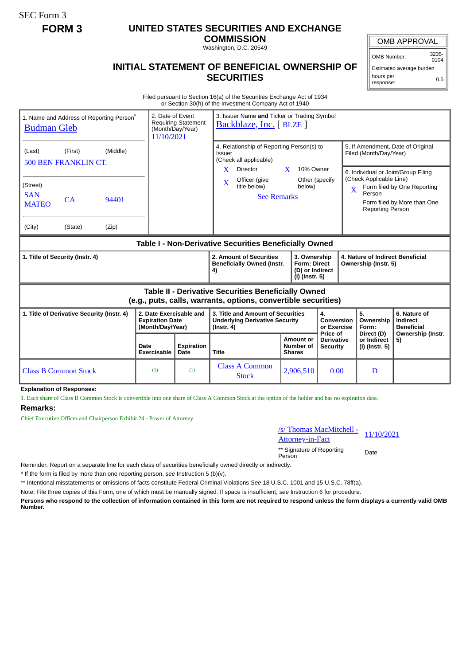SEC Form 3

# **FORM 3 UNITED STATES SECURITIES AND EXCHANGE**

**COMMISSION**

Washington, D.C. 20549

### **INITIAL STATEMENT OF BENEFICIAL OWNERSHIP OF SECURITIES**

OMB APPROVAL

OMB Number: 3235-  $0104$ 

Estimated average burden hours per response: 0.5

Filed pursuant to Section 16(a) of the Securities Exchange Act of 1934 or Section 30(h) of the Investment Company Act of 1940

| 1. Name and Address of Reporting Person <sup>®</sup><br><b>Budman Gleb</b>                                            |                                                                                | 2. Date of Event<br>3. Issuer Name and Ticker or Trading Symbol<br><b>Requiring Statement</b><br>Backblaze, Inc. [BLZE ]<br>(Month/Day/Year)<br>11/10/2021 |                                                                                                                                                |                                                                                                                                                                   |                                                       |                                                                       |                                                                                        |                                                                                                                                        |
|-----------------------------------------------------------------------------------------------------------------------|--------------------------------------------------------------------------------|------------------------------------------------------------------------------------------------------------------------------------------------------------|------------------------------------------------------------------------------------------------------------------------------------------------|-------------------------------------------------------------------------------------------------------------------------------------------------------------------|-------------------------------------------------------|-----------------------------------------------------------------------|----------------------------------------------------------------------------------------|----------------------------------------------------------------------------------------------------------------------------------------|
| (Last)<br>(Street)<br><b>SAN</b><br><b>MATEO</b><br>(City)                                                            | (Middle)<br>(First)<br>500 BEN FRANKLIN CT.<br>CA<br>94401<br>(State)<br>(Zip) |                                                                                                                                                            |                                                                                                                                                | 4. Relationship of Reporting Person(s) to<br>Issuer<br>(Check all applicable)<br>X<br><b>Director</b><br>Officer (give<br>X<br>title below)<br><b>See Remarks</b> | $\mathbf{X}$<br>10% Owner<br>Other (specify<br>below) | $\mathbf{x}$                                                          | Filed (Month/Day/Year)<br>(Check Applicable Line)<br>Person<br><b>Reporting Person</b> | 5. If Amendment, Date of Original<br>6. Individual or Joint/Group Filing<br>Form filed by One Reporting<br>Form filed by More than One |
| Table I - Non-Derivative Securities Beneficially Owned                                                                |                                                                                |                                                                                                                                                            |                                                                                                                                                |                                                                                                                                                                   |                                                       |                                                                       |                                                                                        |                                                                                                                                        |
| 1. Title of Security (Instr. 4)                                                                                       |                                                                                |                                                                                                                                                            | 2. Amount of Securities<br>3. Ownership<br><b>Beneficially Owned (Instr.</b><br><b>Form: Direct</b><br>(D) or Indirect<br>4)<br>(I) (Instr. 5) |                                                                                                                                                                   |                                                       | 4. Nature of Indirect Beneficial<br>Ownership (Instr. 5)              |                                                                                        |                                                                                                                                        |
| Table II - Derivative Securities Beneficially Owned<br>(e.g., puts, calls, warrants, options, convertible securities) |                                                                                |                                                                                                                                                            |                                                                                                                                                |                                                                                                                                                                   |                                                       |                                                                       |                                                                                        |                                                                                                                                        |
| 1. Title of Derivative Security (Instr. 4)                                                                            |                                                                                | 2. Date Exercisable and<br><b>Expiration Date</b><br>(Month/Day/Year)                                                                                      |                                                                                                                                                | 3. Title and Amount of Securities<br><b>Underlying Derivative Security</b><br>$($ lnstr. 4 $)$                                                                    |                                                       | 4.<br>Conversion<br>or Exercise<br>Price of                           | 5.<br>Ownership<br>Form:<br>Direct (D)                                                 | 6. Nature of<br>Indirect<br><b>Beneficial</b><br>Ownership (Instr.<br>5)                                                               |
|                                                                                                                       |                                                                                | Date<br><b>Exercisable</b>                                                                                                                                 | <b>Expiration</b><br>Date                                                                                                                      | <b>Title</b>                                                                                                                                                      | <b>Amount or</b><br>Number of<br><b>Shares</b>        | or Indirect<br><b>Derivative</b><br>(I) (Instr. 5)<br><b>Security</b> |                                                                                        |                                                                                                                                        |
| <b>Class B Common Stock</b>                                                                                           |                                                                                | (1)                                                                                                                                                        | (1)                                                                                                                                            | <b>Class A Common</b><br><b>Stock</b>                                                                                                                             | 2,906,510                                             | 0.00                                                                  | D                                                                                      |                                                                                                                                        |

#### **Explanation of Responses:**

1. Each share of Class B Common Stock is convertible into one share of Class A Common Stock at the option of the holder and has no expiration date.

#### **Remarks:**

Chief Executive Officer and Chairperson Exhibit 24 - Power of Attorney

## /s/ Thomas MacMitchell - Attorney-in-Fact<br>
Attorney-in-Fact

\*\* Signature of Reporting Person Date

Reminder: Report on a separate line for each class of securities beneficially owned directly or indirectly.

\* If the form is filed by more than one reporting person, *see* Instruction 5 (b)(v).

\*\* Intentional misstatements or omissions of facts constitute Federal Criminal Violations *See* 18 U.S.C. 1001 and 15 U.S.C. 78ff(a).

Note: File three copies of this Form, one of which must be manually signed. If space is insufficient, *see* Instruction 6 for procedure.

**Persons who respond to the collection of information contained in this form are not required to respond unless the form displays a currently valid OMB Number.**